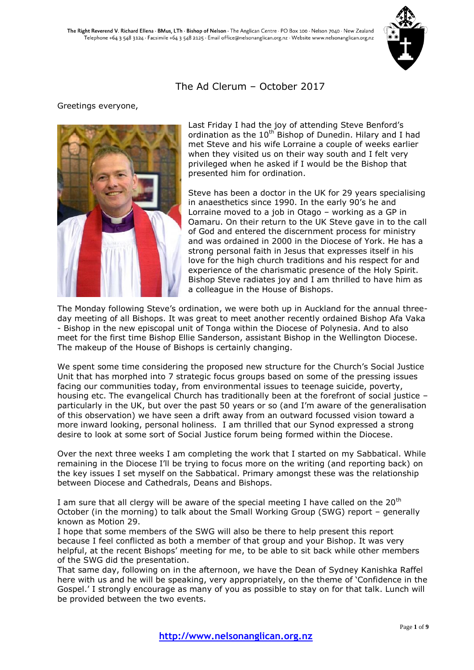

### The Ad Clerum – October 2017

### Greetings everyone,



Last Friday I had the joy of attending Steve Benford's ordination as the 10<sup>th</sup> Bishop of Dunedin. Hilary and I had met Steve and his wife Lorraine a couple of weeks earlier when they visited us on their way south and I felt very privileged when he asked if I would be the Bishop that presented him for ordination.

Steve has been a doctor in the UK for 29 years specialising in anaesthetics since 1990. In the early 90's he and Lorraine moved to a job in Otago – working as a GP in Oamaru. On their return to the UK Steve gave in to the call of God and entered the discernment process for ministry and was ordained in 2000 in the Diocese of York. He has a strong personal faith in Jesus that expresses itself in his love for the high church traditions and his respect for and experience of the charismatic presence of the Holy Spirit. Bishop Steve radiates joy and I am thrilled to have him as a colleague in the House of Bishops.

The Monday following Steve's ordination, we were both up in Auckland for the annual threeday meeting of all Bishops. It was great to meet another recently ordained Bishop Afa Vaka - Bishop in the new episcopal unit of Tonga within the Diocese of Polynesia. And to also meet for the first time Bishop Ellie Sanderson, assistant Bishop in the Wellington Diocese. The makeup of the House of Bishops is certainly changing.

We spent some time considering the proposed new structure for the Church's Social Justice Unit that has morphed into 7 strategic focus groups based on some of the pressing issues facing our communities today, from environmental issues to teenage suicide, poverty, housing etc. The evangelical Church has traditionally been at the forefront of social justice – particularly in the UK, but over the past 50 years or so (and I'm aware of the generalisation of this observation) we have seen a drift away from an outward focussed vision toward a more inward looking, personal holiness. I am thrilled that our Synod expressed a strong desire to look at some sort of Social Justice forum being formed within the Diocese.

Over the next three weeks I am completing the work that I started on my Sabbatical. While remaining in the Diocese I'll be trying to focus more on the writing (and reporting back) on the key issues I set myself on the Sabbatical. Primary amongst these was the relationship between Diocese and Cathedrals, Deans and Bishops.

I am sure that all clergy will be aware of the special meeting I have called on the  $20<sup>th</sup>$ October (in the morning) to talk about the Small Working Group (SWG) report – generally known as Motion 29.

I hope that some members of the SWG will also be there to help present this report because I feel conflicted as both a member of that group and your Bishop. It was very helpful, at the recent Bishops' meeting for me, to be able to sit back while other members of the SWG did the presentation.

That same day, following on in the afternoon, we have the Dean of Sydney Kanishka Raffel here with us and he will be speaking, very appropriately, on the theme of 'Confidence in the Gospel.' I strongly encourage as many of you as possible to stay on for that talk. Lunch will be provided between the two events.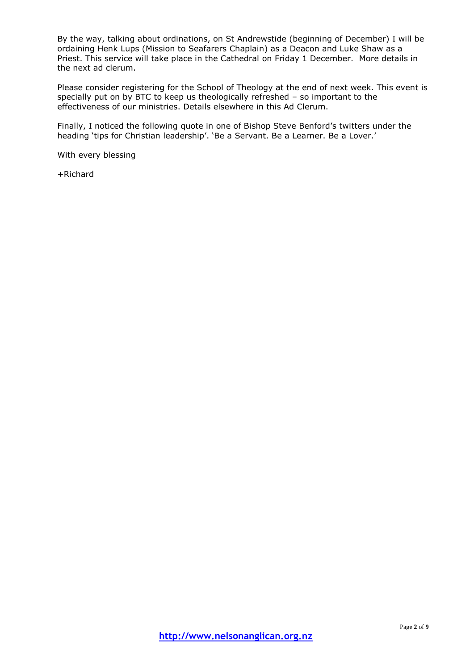By the way, talking about ordinations, on St Andrewstide (beginning of December) I will be ordaining Henk Lups (Mission to Seafarers Chaplain) as a Deacon and Luke Shaw as a Priest. This service will take place in the Cathedral on Friday 1 December. More details in the next ad clerum.

Please consider registering for the School of Theology at the end of next week. This event is specially put on by BTC to keep us theologically refreshed – so important to the effectiveness of our ministries. Details elsewhere in this Ad Clerum.

Finally, I noticed the following quote in one of Bishop Steve Benford's twitters under the heading 'tips for Christian leadership'. 'Be a Servant. Be a Learner. Be a Lover.'

With every blessing

+Richard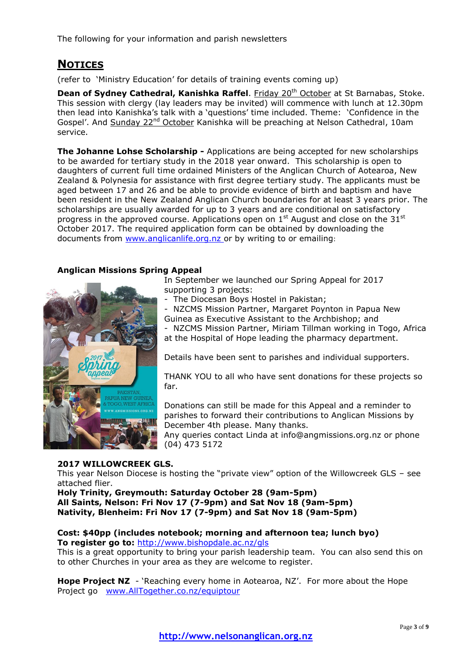The following for your information and parish newsletters

# **NOTICES**

(refer to 'Ministry Education' for details of training events coming up)

**Dean of Sydney Cathedral, Kanishka Raffel.** Friday 20<sup>th</sup> October at St Barnabas, Stoke. This session with clergy (lay leaders may be invited) will commence with lunch at 12.30pm then lead into Kanishka's talk with a 'questions' time included. Theme: 'Confidence in the Gospel'. And Sunday 22<sup>nd</sup> October Kanishka will be preaching at Nelson Cathedral, 10am service.

**The Johanne Lohse Scholarship -** Applications are being accepted for new scholarships to be awarded for tertiary study in the 2018 year onward. This scholarship is open to daughters of current full time ordained Ministers of the Anglican Church of Aotearoa, New Zealand & Polynesia for assistance with first degree tertiary study. The applicants must be aged between 17 and 26 and be able to provide evidence of birth and baptism and have been resident in the New Zealand Anglican Church boundaries for at least 3 years prior. The scholarships are usually awarded for up to 3 years and are conditional on satisfactory progress in the approved course. Applications open on 1<sup>st</sup> August and close on the 31<sup>st</sup> October 2017. The required application form can be obtained by downloading the documents from [www.anglicanlife.org.nz](mailto:anglicanlife.org.nz) or by writing to or emailing:

### **Anglican Missions Spring Appeal**



In September we launched our Spring Appeal for 2017 supporting 3 projects:

- The Diocesan Boys Hostel in Pakistan;

NZCMS Mission Partner, Margaret Poynton in Papua New Guinea as Executive Assistant to the Archbishop; and

- NZCMS Mission Partner, Miriam Tillman working in Togo, Africa at the Hospital of Hope leading the pharmacy department.

Details have been sent to parishes and individual supporters.

THANK YOU to all who have sent donations for these projects so far.

Donations can still be made for this Appeal and a reminder to parishes to forward their contributions to Anglican Missions by December 4th please. Many thanks.

Any queries contact Linda at info@angmissions.org.nz or phone (04) 473 5172

### **2017 WILLOWCREEK GLS.**

This year Nelson Diocese is hosting the "private view" option of the Willowcreek GLS – see attached flier.

**Holy Trinity, Greymouth: Saturday October 28 (9am-5pm) All Saints, Nelson: Fri Nov 17 (7-9pm) and Sat Nov 18 (9am-5pm) Nativity, Blenheim: Fri Nov 17 (7-9pm) and Sat Nov 18 (9am-5pm)**

#### **Cost: \$40pp (includes notebook; morning and afternoon tea; lunch byo) To register go to:** <http://www.bishopdale.ac.nz/gls>

This is a great opportunity to bring your parish leadership team. You can also send this on to other Churches in your area as they are welcome to register.

**Hope Project NZ** - 'Reaching every home in Aotearoa, NZ'. For more about the Hope Project go [www.AllTogether.co.nz/equiptour](http://www.alltogether.co.nz/equiptour)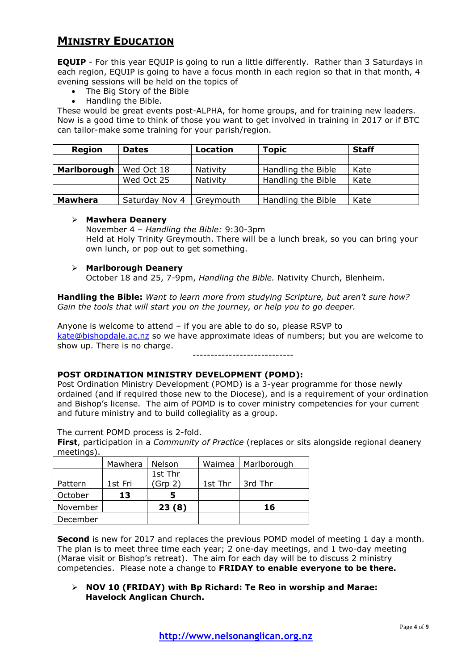# **MINISTRY EDUCATION**

**EQUIP** - For this year EQUIP is going to run a little differently. Rather than 3 Saturdays in each region, EQUIP is going to have a focus month in each region so that in that month, 4 evening sessions will be held on the topics of

- The Big Story of the Bible
- Handling the Bible.

These would be great events post-ALPHA, for home groups, and for training new leaders. Now is a good time to think of those you want to get involved in training in 2017 or if BTC can tailor-make some training for your parish/region.

| Region         | <b>Dates</b>   | Location  | Topic              | <b>Staff</b> |
|----------------|----------------|-----------|--------------------|--------------|
|                |                |           |                    |              |
| Marlborough    | Wed Oct 18     | Nativity  | Handling the Bible | Kate         |
|                | Wed Oct 25     | Nativity  | Handling the Bible | Kate         |
|                |                |           |                    |              |
| <b>Mawhera</b> | Saturday Nov 4 | Grevmouth | Handling the Bible | Kate         |

### **Mawhera Deanery**

November 4 – *Handling the Bible:* 9:30-3pm Held at Holy Trinity Greymouth. There will be a lunch break, so you can bring your own lunch, or pop out to get something.

### **Marlborough Deanery**

October 18 and 25, 7-9pm, *Handling the Bible.* Nativity Church, Blenheim.

**Handling the Bible:** *Want to learn more from studying Scripture, but aren't sure how? Gain the tools that will start you on the journey, or help you to go deeper.*

Anyone is welcome to attend – if you are able to do so, please RSVP to [kate@bishopdale.ac.nz](mailto:kate@bishopdale.ac.nz) so we have approximate ideas of numbers; but you are welcome to show up. There is no charge. ----------------------------

### **POST ORDINATION MINISTRY DEVELOPMENT (POMD):**

Post Ordination Ministry Development (POMD) is a 3-year programme for those newly ordained (and if required those new to the Diocese), and is a requirement of your ordination and Bishop's license. The aim of POMD is to cover ministry competencies for your current and future ministry and to build collegiality as a group.

The current POMD process is 2-fold.

**First**, participation in a *Community of Practice* (replaces or sits alongside regional deanery meetings)

|          | Mawhera | Nelson  | Waimea  | Marlborough |  |
|----------|---------|---------|---------|-------------|--|
|          |         | 1st Thr |         |             |  |
| Pattern  | 1st Fri | (Grp 2) | 1st Thr | 3rd Thr     |  |
| October  | 13      |         |         |             |  |
| November |         | 23(8)   |         | 16          |  |
| December |         |         |         |             |  |

**Second** is new for 2017 and replaces the previous POMD model of meeting 1 day a month. The plan is to meet three time each year; 2 one-day meetings, and 1 two-day meeting (Marae visit or Bishop's retreat). The aim for each day will be to discuss 2 ministry competencies. Please note a change to **FRIDAY to enable everyone to be there.**

 **NOV 10 (FRIDAY) with Bp Richard: Te Reo in worship and Marae: Havelock Anglican Church.**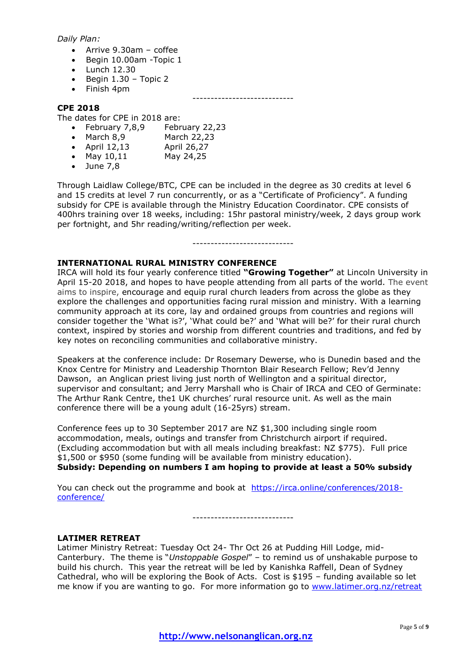### *Daily Plan:*

- Arrive 9.30am coffee
- Begin 10.00am -Topic 1
- $\bullet$  Lunch 12.30
- $\bullet$  Begin 1.30 Topic 2
- Finish 4pm

----------------------------

### **CPE 2018**

The dates for CPE in 2018 are:

- February 7,8,9 February 22,23
- March 8,9 March 22,23
- April 12,13 April 26,27
- May 10,11 May 24,25
- $\bullet$  June 7,8

Through Laidlaw College/BTC, CPE can be included in the degree as 30 credits at level 6 and 15 credits at level 7 run concurrently, or as a "Certificate of Proficiency". A funding subsidy for CPE is available through the Ministry Education Coordinator. CPE consists of 400hrs training over 18 weeks, including: 15hr pastoral ministry/week, 2 days group work per fortnight, and 5hr reading/writing/reflection per week.

### **INTERNATIONAL RURAL MINISTRY CONFERENCE**

IRCA will hold its four yearly conference titled **"Growing Together"** at Lincoln University in April 15-20 2018, and hopes to have people attending from all parts of the world. The event aims to inspire, encourage and equip rural church leaders from across the globe as they explore the challenges and opportunities facing rural mission and ministry. With a learning community approach at its core, lay and ordained groups from countries and regions will consider together the 'What is?', 'What could be?' and 'What will be?' for their rural church context, inspired by stories and worship from different countries and traditions, and fed by key notes on reconciling communities and collaborative ministry.

Speakers at the conference include: Dr Rosemary Dewerse, who is Dunedin based and the Knox Centre for Ministry and Leadership Thornton Blair Research Fellow; Rev'd Jenny Dawson, an Anglican priest living just north of Wellington and a spiritual director, supervisor and consultant; and Jerry Marshall who is Chair of IRCA and CEO of Germinate: The Arthur Rank Centre, the1 UK churches' rural resource unit. As well as the main conference there will be a young adult (16-25yrs) stream.

Conference fees up to 30 September 2017 are NZ \$1,300 including single room accommodation, meals, outings and transfer from Christchurch airport if required. (Excluding accommodation but with all meals including breakfast: NZ \$775). Full price \$1,500 or \$950 (some funding will be available from ministry education). **Subsidy: Depending on numbers I am hoping to provide at least a 50% subsidy**

You can check out the programme and book at [https://irca.online/conferences/2018](https://irca.online/conferences/2018-conference/) [conference/](https://irca.online/conferences/2018-conference/)

----------------------------

### **LATIMER RETREAT**

Latimer Ministry Retreat: Tuesday Oct 24- Thr Oct 26 at Pudding Hill Lodge, mid-Canterbury. The theme is "*Unstoppable Gospel*" – to remind us of unshakable purpose to build his church. This year the retreat will be led by Kanishka Raffell, Dean of Sydney Cathedral, who will be exploring the Book of Acts. Cost is \$195 – funding available so let me know if you are wanting to go. For more information go to [www.latimer.org.nz/retreat](http://www.latimer.org.nz/retreat)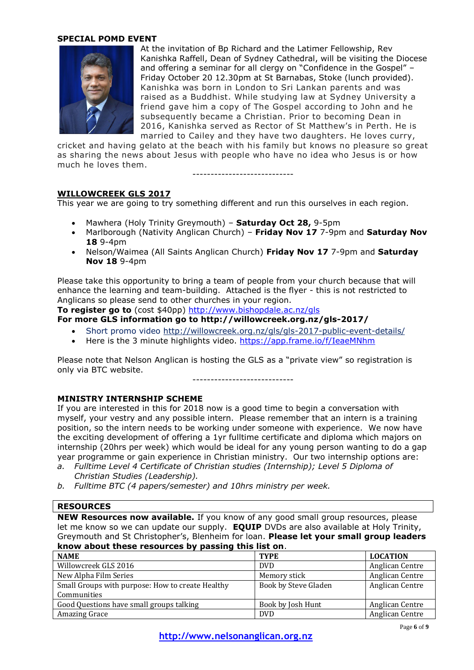### **SPECIAL POMD EVENT**



At the invitation of Bp Richard and the Latimer Fellowship, Rev Kanishka Raffell, Dean of Sydney Cathedral, will be visiting the Diocese and offering a seminar for all clergy on "Confidence in the Gospel" – Friday October 20 12.30pm at St Barnabas, Stoke (lunch provided). Kanishka was born in London to Sri Lankan parents and was raised as a Buddhist. While studying law at Sydney University a friend gave him a copy of The Gospel according to John and he subsequently became a Christian. Prior to becoming Dean in 2016, Kanishka served as Rector of St Matthew's in Perth. He is married to Cailey and they have two daughters. He loves curry,

cricket and having gelato at the beach with his family but knows no pleasure so great as sharing the news about Jesus with people who have no idea who Jesus is or how much he loves them.

----------------------------

### **WILLOWCREEK GLS 2017**

This year we are going to try something different and run this ourselves in each region.

- Mawhera (Holy Trinity Greymouth) **Saturday Oct 28,** 9-5pm
- Marlborough (Nativity Anglican Church) **Friday Nov 17** 7-9pm and **Saturday Nov 18** 9-4pm
- Nelson/Waimea (All Saints Anglican Church) **Friday Nov 17** 7-9pm and **Saturday Nov 18** 9-4pm

Please take this opportunity to bring a team of people from your church because that will enhance the learning and team-building. Attached is the flyer - this is not restricted to Anglicans so please send to other churches in your region.

**To register go to** (cost \$40pp)<http://www.bishopdale.ac.nz/gls>

**For more GLS information go to http://willowcreek.org.nz/gls-2017/**

- Short promo video<http://willowcreek.org.nz/gls/gls-2017-public-event-details/>
- Here is the 3 minute highlights video.<https://app.frame.io/f/IeaeMNhm>

Please note that Nelson Anglican is hosting the GLS as a "private view" so registration is only via BTC website.

----------------------------

### **MINISTRY INTERNSHIP SCHEME**

If you are interested in this for 2018 now is a good time to begin a conversation with myself, your vestry and any possible intern. Please remember that an intern is a training position, so the intern needs to be working under someone with experience. We now have the exciting development of offering a 1yr fulltime certificate and diploma which majors on internship (20hrs per week) which would be ideal for any young person wanting to do a gap year programme or gain experience in Christian ministry. Our two internship options are:

- *a. Fulltime Level 4 Certificate of Christian studies (Internship); Level 5 Diploma of Christian Studies (Leadership).*
- *b. Fulltime BTC (4 papers/semester) and 10hrs ministry per week.*

#### **RESOURCES**

**NEW Resources now available.** If you know of any good small group resources, please let me know so we can update our supply. **EQUIP** DVDs are also available at Holy Trinity, Greymouth and St Christopher's, Blenheim for loan. **Please let your small group leaders know about these resources by passing this list on**.

| <b>NAME</b>                                      | <b>TYPE</b>          | <b>LOCATION</b> |
|--------------------------------------------------|----------------------|-----------------|
| Willowcreek GLS 2016                             | <b>DVD</b>           | Anglican Centre |
| New Alpha Film Series                            | Memory stick         | Anglican Centre |
| Small Groups with purpose: How to create Healthy | Book by Steve Gladen | Anglican Centre |
| Communities                                      |                      |                 |
| Good Questions have small groups talking         | Book by Josh Hunt    | Anglican Centre |
| Amazing Grace                                    | <b>DVD</b>           | Anglican Centre |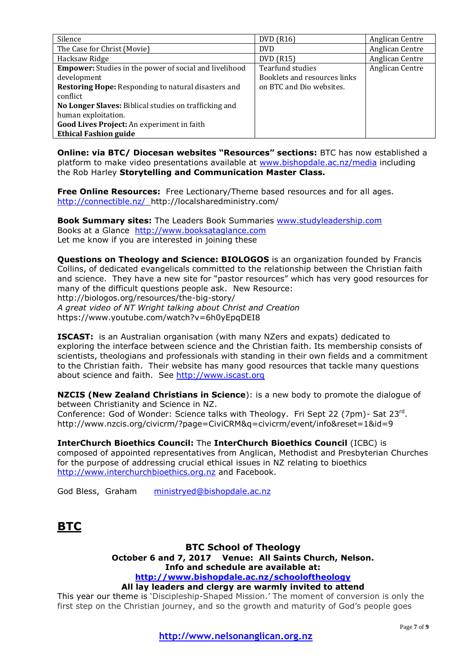| Silence                                                       | <b>DVD</b> (R16)             | Anglican Centre |
|---------------------------------------------------------------|------------------------------|-----------------|
| The Case for Christ (Movie)                                   | <b>DVD</b>                   | Anglican Centre |
| Hacksaw Ridge                                                 | <b>DVD</b> (R15)             | Anglican Centre |
| <b>Empower:</b> Studies in the power of social and livelihood | Tearfund studies             | Anglican Centre |
| development                                                   | Booklets and resources links |                 |
| <b>Restoring Hope:</b> Responding to natural disasters and    | on BTC and Dio websites.     |                 |
| conflict                                                      |                              |                 |
| No Longer Slaves: Biblical studies on trafficking and         |                              |                 |
| human exploitation.                                           |                              |                 |
| Good Lives Project: An experiment in faith                    |                              |                 |
| <b>Ethical Fashion guide</b>                                  |                              |                 |

**Online: via BTC/ Diocesan websites "Resources" sections:** BTC has now established a platform to make video presentations available at [www.bishopdale.ac.nz/media](http://www.bishopdale.ac.nz/media) including the Rob Harley **Storytelling and Communication Master Class.**

**Free Online Resources:** Free Lectionary/Theme based resources and for all ages. <http://connectible.nz/>http://localsharedministry.com/

**Book Summary sites:** The Leaders Book Summaries [www.studyleadership.com](http://www.studyleadership.com/) Books at a Glance [http://www.booksataglance.com](http://www.booksataglance.com/) Let me know if you are interested in joining these

**Questions on Theology and Science: BIOLOGOS** is an organization founded by Francis Collins, of dedicated evangelicals committed to the relationship between the Christian faith and science. They have a new site for "pastor resources" which has very good resources for many of the difficult questions people ask. New Resource: http://biologos.org/resources/the-big-story/ *A great video of NT Wright talking about Christ and Creation*

https://www.youtube.com/watch?v=6h0yEpqDEI8

**ISCAST:** is an Australian organisation (with many NZers and expats) dedicated to exploring the interface between science and the Christian faith. Its membership consists of scientists, theologians and professionals with standing in their own fields and a commitment to the Christian faith. Their website has many good resources that tackle many questions about science and faith. See [http://www.iscast.org](http://www.iscast.org/)

**NZCIS (New Zealand Christians in Science**): is a new body to promote the dialogue of between Christianity and Science in NZ. Conference: God of Wonder: Science talks with Theology. Fri Sept 22 (7pm) - Sat 23rd. http://www.nzcis.org/civicrm/?page=CiviCRM&q=civicrm/event/info&reset=1&id=9

**InterChurch Bioethics Council:** The **InterChurch Bioethics Council** (ICBC) is composed of appointed representatives from Anglican, Methodist and Presbyterian Churches for the purpose of addressing crucial ethical issues in NZ relating to bioethics [http://www.interchurchbioethics.org.nz](http://www.interchurchbioethics.org.nz/) and Facebook.

God Bless, Graham [ministryed@bishopdale.ac.nz](mailto:ministryed@bishopdale.ac.nz)

# **BTC**

### **BTC School of Theology October 6 and 7, 2017 Venue: All Saints Church, Nelson. Info and schedule are available at: <http://www.bishopdale.ac.nz/schooloftheology>**

### **All lay leaders and clergy are warmly invited to attend**

This year our theme is 'Discipleship-Shaped Mission.' The moment of conversion is only the first step on the Christian journey, and so the growth and maturity of God's people goes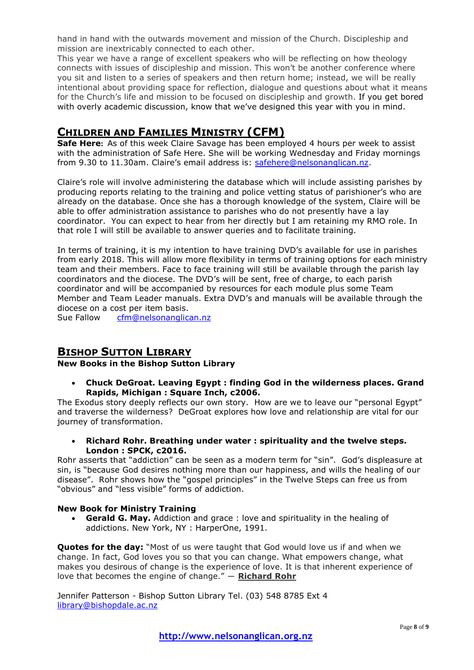hand in hand with the outwards movement and mission of the Church. Discipleship and mission are inextricably connected to each other.

This year we have a range of excellent speakers who will be reflecting on how theology connects with issues of discipleship and mission. This won't be another conference where you sit and listen to a series of speakers and then return home; instead, we will be really intentional about providing space for reflection, dialogue and questions about what it means for the Church's life and mission to be focused on discipleship and growth. If you get bored with overly academic discussion, know that we've designed this year with you in mind.

# **CHILDREN AND FAMILIES MINISTRY (CFM)**

**Safe Here:** As of this week Claire Savage has been employed 4 hours per week to assist with the administration of Safe Here. She will be working Wednesday and Friday mornings from 9.30 to 11.30am. Claire's email address is: [safehere@nelsonanglican.nz.](mailto:safehere@nelsonanglican.nz)

Claire's role will involve administering the database which will include assisting parishes by producing reports relating to the training and police vetting status of parishioner's who are already on the database. Once she has a thorough knowledge of the system, Claire will be able to offer administration assistance to parishes who do not presently have a lay coordinator. You can expect to hear from her directly but I am retaining my RMO role. In that role I will still be available to answer queries and to facilitate training.

In terms of training, it is my intention to have training DVD's available for use in parishes from early 2018. This will allow more flexibility in terms of training options for each ministry team and their members. Face to face training will still be available through the parish lay coordinators and the diocese. The DVD's will be sent, free of charge, to each parish coordinator and will be accompanied by resources for each module plus some Team Member and Team Leader manuals. Extra DVD's and manuals will be available through the diocese on a cost per item basis.

Sue Fallow [cfm@nelsonanglican.nz](mailto:cfm@nelsonanglican.nz)

### **BISHOP SUTTON LIBRARY**

**New Books in the Bishop Sutton Library**

 **Chuck DeGroat. Leaving Egypt : finding God in the wilderness places. Grand Rapids, Michigan : Square Inch, c2006.**

The Exodus story deeply reflects our own story. How are we to leave our "personal Egypt" and traverse the wilderness? DeGroat explores how love and relationship are vital for our journey of transformation.

 **Richard Rohr. Breathing under water : spirituality and the twelve steps. London : SPCK, c2016.**

Rohr asserts that "addiction" can be seen as a modern term for "sin". God's displeasure at sin, is "because God desires nothing more than our happiness, and wills the healing of our disease". Rohr shows how the "gospel principles" in the Twelve Steps can free us from "obvious" and "less visible" forms of addiction.

### **New Book for Ministry Training**

 **Gerald G. May.** Addiction and grace : love and spirituality in the healing of addictions. New York, NY : HarperOne, 1991.

**Quotes for the day:** "Most of us were taught that God would love us if and when we change. In fact, God loves you so that you can change. What empowers change, what makes you desirous of change is the experience of love. It is that inherent experience of love that becomes the engine of change." ― **[Richard Rohr](https://www.goodreads.com/author/show/7919.Richard_Rohr)**

Jennifer Patterson - Bishop Sutton Library Tel. (03) 548 8785 Ext 4 [library@bishopdale.ac.nz](mailto:library@bishopdale.ac.nz)